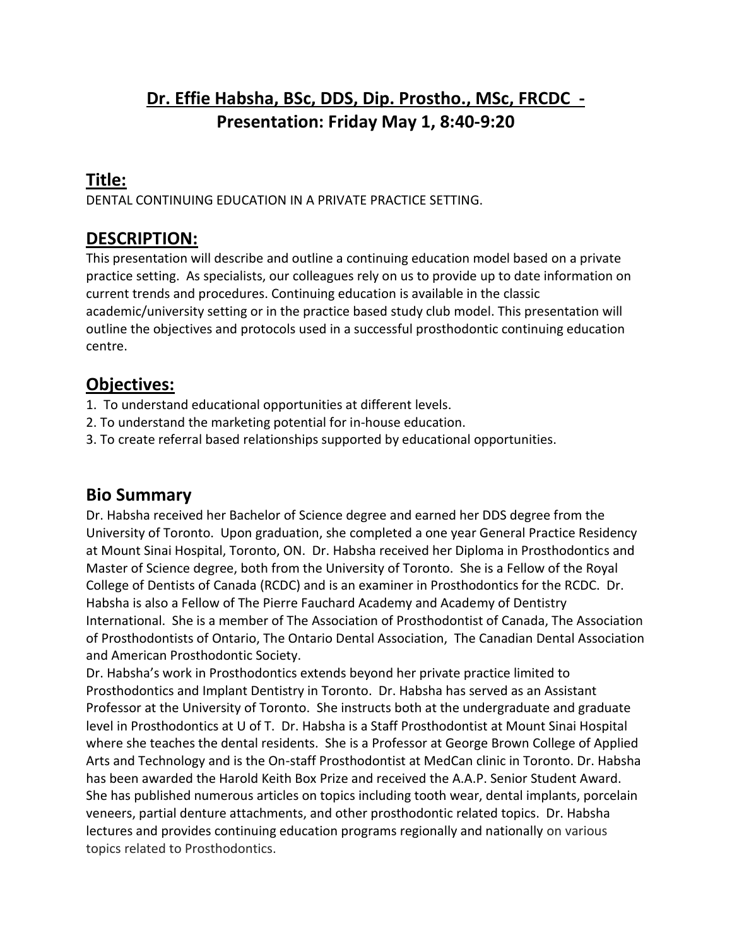# **Dr. Effie Habsha, BSc, DDS, Dip. Prostho., MSc, FRCDC - Presentation: Friday May 1, 8:40-9:20**

# **Title:**

DENTAL CONTINUING EDUCATION IN A PRIVATE PRACTICE SETTING.

### **DESCRIPTION:**

This presentation will describe and outline a continuing education model based on a private practice setting. As specialists, our colleagues rely on us to provide up to date information on current trends and procedures. Continuing education is available in the classic academic/university setting or in the practice based study club model. This presentation will outline the objectives and protocols used in a successful prosthodontic continuing education centre.

# **Objectives:**

- 1. To understand educational opportunities at different levels.
- 2. To understand the marketing potential for in-house education.
- 3. To create referral based relationships supported by educational opportunities.

### **Bio Summary**

Dr. Habsha received her Bachelor of Science degree and earned her DDS degree from the University of Toronto. Upon graduation, she completed a one year General Practice Residency at Mount Sinai Hospital, Toronto, ON. Dr. Habsha received her Diploma in Prosthodontics and Master of Science degree, both from the University of Toronto. She is a Fellow of the Royal College of Dentists of Canada (RCDC) and is an examiner in Prosthodontics for the RCDC. Dr. Habsha is also a Fellow of The Pierre Fauchard Academy and Academy of Dentistry International. She is a member of The Association of Prosthodontist of Canada, The Association of Prosthodontists of Ontario, The Ontario Dental Association, The Canadian Dental Association and American Prosthodontic Society.

Dr. Habsha's work in Prosthodontics extends beyond her private practice limited to Prosthodontics and Implant Dentistry in Toronto. Dr. Habsha has served as an Assistant Professor at the University of Toronto. She instructs both at the undergraduate and graduate level in Prosthodontics at U of T. Dr. Habsha is a Staff Prosthodontist at Mount Sinai Hospital where she teaches the dental residents. She is a Professor at George Brown College of Applied Arts and Technology and is the On-staff Prosthodontist at MedCan clinic in Toronto. Dr. Habsha has been awarded the Harold Keith Box Prize and received the A.A.P. Senior Student Award. She has published numerous articles on topics including tooth wear, dental implants, porcelain veneers, partial denture attachments, and other prosthodontic related topics. Dr. Habsha lectures and provides continuing education programs regionally and nationally on various topics related to Prosthodontics.